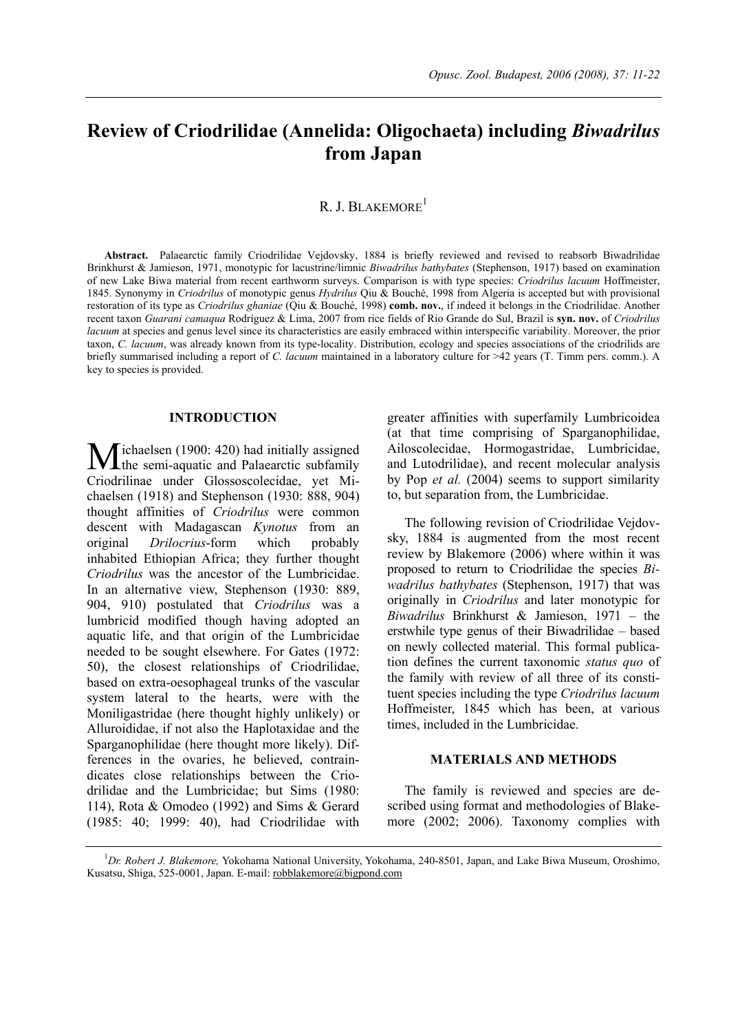# **Review of Criodrilidae (Annelida: Oligochaeta) including** *Biwadrilus*  **from Japan**

# R. J. BLAKEMORE<sup>1</sup>

**Abstract.** Palaearctic family Criodrilidae Vejdovsky, 1884 is briefly reviewed and revised to reabsorb Biwadrilidae Brinkhurst & Jamieson, 1971, monotypic for lacustrine/limnic *Biwadrilus bathybates* (Stephenson, 1917) based on examination of new Lake Biwa material from recent earthworm surveys. Comparison is with type species: *Criodrilus lacuum* Hoffmeister, 1845. Synonymy in *Criodrilus* of monotypic genus *Hydrilus* Qiu & Bouché, 1998 from Algeria is accepted but with provisional restoration of its type as *Criodrilus ghaniae* (Qiu & Bouché, 1998) **comb. nov.**, if indeed it belongs in the Criodrilidae. Another recent taxon *Guarani camaqua* Rodríguez & Lima, 2007 from rice fields of Rio Grande do Sul, Brazil is **syn. nov.** of *Criodrilus lacuum* at species and genus level since its characteristics are easily embraced within interspecific variability. Moreover, the prior taxon, *C. lacuum*, was already known from its type-locality. Distribution, ecology and species associations of the criodrilids are briefly summarised including a report of *C. lacuum* maintained in a laboratory culture for >42 years (T. Timm pers. comm.). A key to species is provided.

#### **INTRODUCTION**

 $\overline{\mathcal{M}}$  ichaelsen (1900: 420) had initially assigned Michaelsen (1900: 420) had initially assigned<br>
the semi-aquatic and Palaearctic subfamily Criodrilinae under Glossoscolecidae, yet Michaelsen (1918) and Stephenson (1930: 888, 904) thought affinities of *Criodrilus* were common descent with Madagascan *Kynotus* from an original *Drilocrius*-form which probably inhabited Ethiopian Africa; they further thought *Criodrilus* was the ancestor of the Lumbricidae. In an alternative view, Stephenson (1930: 889, 904, 910) postulated that *Criodrilus* was a lumbricid modified though having adopted an aquatic life, and that origin of the Lumbricidae needed to be sought elsewhere. For Gates (1972: 50), the closest relationships of Criodrilidae, based on extra-oesophageal trunks of the vascular system lateral to the hearts, were with the Moniligastridae (here thought highly unlikely) or Alluroididae, if not also the Haplotaxidae and the Sparganophilidae (here thought more likely). Differences in the ovaries, he believed, contraindicates close relationships between the Criodrilidae and the Lumbricidae; but Sims (1980: 114), Rota & Omodeo (1992) and Sims & Gerard (1985: 40; 1999: 40), had Criodrilidae with

greater affinities with superfamily Lumbricoidea (at that time comprising of Sparganophilidae, Ailoscolecidae, Hormogastridae, Lumbricidae, and Lutodrilidae), and recent molecular analysis by Pop *et al.* (2004) seems to support similarity to, but separation from, the Lumbricidae.

The following revision of Criodrilidae Vejdovsky, 1884 is augmented from the most recent review by Blakemore (2006) where within it was proposed to return to Criodrilidae the species *Biwadrilus bathybates* (Stephenson, 1917) that was originally in *Criodrilus* and later monotypic for *Biwadrilus* Brinkhurst & Jamieson, 1971 – the erstwhile type genus of their Biwadrilidae – based on newly collected material. This formal publication defines the current taxonomic *status quo* of the family with review of all three of its constituent species including the type *Criodrilus lacuum*  Hoffmeister, 1845 which has been, at various times, included in the Lumbricidae.

## **MATERIALS AND METHODS**

The family is reviewed and species are described using format and methodologies of Blakemore (2002; 2006). Taxonomy complies with

1 *Dr. Robert J. Blakemore,* Yokohama National University, Yokohama, 240-8501, Japan, and Lake Biwa Museum, Oroshimo, Kusatsu, Shiga, 525-0001, Japan. E-mail: robblakemore@bigpond.com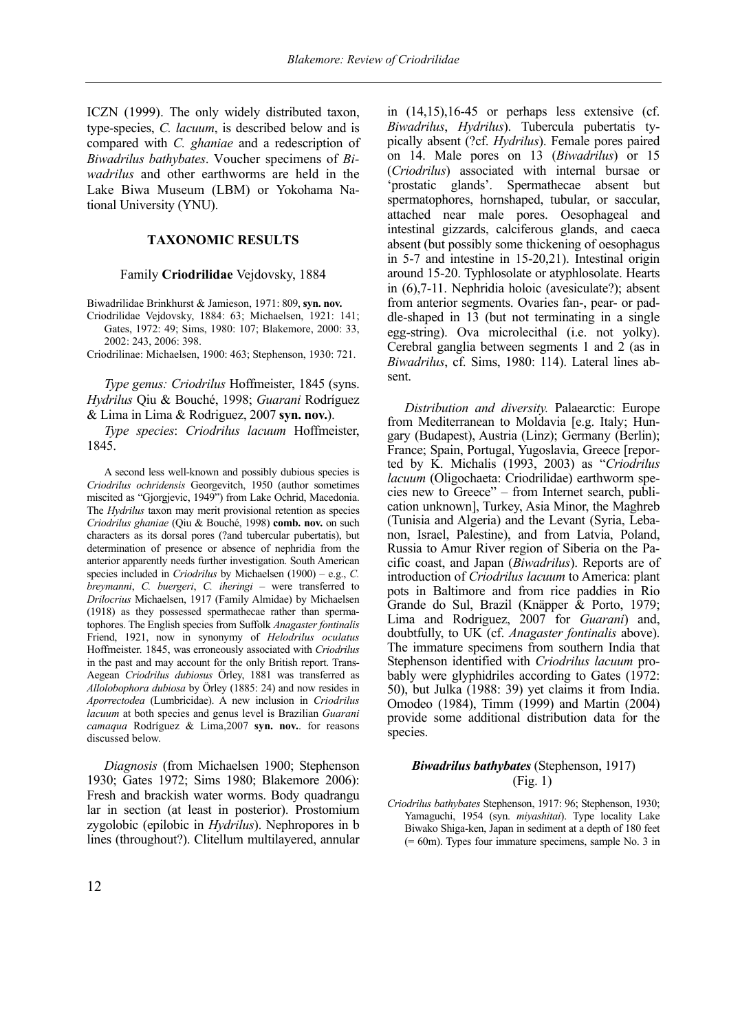ICZN (1999). The only widely distributed taxon, type-species, *C. lacuum*, is described below and is compared with *C. ghaniae* and a redescription of *Biwadrilus bathybates*. Voucher specimens of *Biwadrilus* and other earthworms are held in the Lake Biwa Museum (LBM) or Yokohama National University (YNU).

## **TAXONOMIC RESULTS**

#### Family **Criodrilidae** Vejdovsky, 1884

Biwadrilidae Brinkhurst & Jamieson, 1971: 809, **syn. nov.**

Criodrilidae Vejdovsky, 1884: 63; Michaelsen, 1921: 141; Gates, 1972: 49; Sims, 1980: 107; Blakemore, 2000: 33, 2002: 243, 2006: 398.

Criodrilinae: Michaelsen, 1900: 463; Stephenson, 1930: 721.

*Type genus: Criodrilus* Hoffmeister, 1845 (syns. *Hydrilus* Qiu & Bouché, 1998; *Guarani* Rodríguez & Lima in Lima & Rodriguez, 2007 **syn. nov.**).

*Type species*: *Criodrilus lacuum* Hoffmeister, 1845.

A second less well-known and possibly dubious species is *Criodrilus ochridensis* Georgevitch, 1950 (author sometimes miscited as "Gjorgjevic, 1949") from Lake Ochrid, Macedonia. The *Hydrilus* taxon may merit provisional retention as species *Criodrilus ghaniae* (Qiu & Bouché, 1998) **comb. nov.** on such characters as its dorsal pores (?and tubercular pubertatis), but determination of presence or absence of nephridia from the anterior apparently needs further investigation. South American species included in *Criodrilus* by Michaelsen (1900) – e.g., *C. breymanni*, *C. buergeri*, *C. iheringi* – were transferred to *Drilocrius* Michaelsen, 1917 (Family Almidae) by Michaelsen (1918) as they possessed spermathecae rather than spermatophores. The English species from Suffolk *Anagaster fontinalis* Friend, 1921, now in synonymy of *Helodrilus oculatus*  Hoffmeister. 1845, was erroneously associated with *Criodrilus* in the past and may account for the only British report. Trans-Aegean *Criodrilus dubiosus* Örley, 1881 was transferred as *Allolobophora dubiosa* by Örley (1885: 24) and now resides in *Aporrectodea* (Lumbricidae). A new inclusion in *Criodrilus lacuum* at both species and genus level is Brazilian *Guarani camaqua* Rodríguez & Lima,2007 **syn. nov.**. for reasons discussed below.

*Diagnosis* (from Michaelsen 1900; Stephenson 1930; Gates 1972; Sims 1980; Blakemore 2006): Fresh and brackish water worms. Body quadrangu lar in section (at least in posterior). Prostomium zygolobic (epilobic in *Hydrilus*). Nephropores in b lines (throughout?). Clitellum multilayered, annular in (14,15),16-45 or perhaps less extensive (cf. *Biwadrilus*, *Hydrilus*). Tubercula pubertatis typically absent (?cf. *Hydrilus*). Female pores paired on 14. Male pores on 13 (*Biwadrilus*) or 15 (*Criodrilus*) associated with internal bursae or 'prostatic glands'. Spermathecae absent but spermatophores, hornshaped, tubular, or saccular, attached near male pores. Oesophageal and intestinal gizzards, calciferous glands, and caeca absent (but possibly some thickening of oesophagus in 5-7 and intestine in 15-20,21). Intestinal origin around 15-20. Typhlosolate or atyphlosolate. Hearts in (6),7-11. Nephridia holoic (avesiculate?); absent from anterior segments. Ovaries fan-, pear- or paddle-shaped in 13 (but not terminating in a single egg-string). Ova microlecithal (i.e. not yolky). Cerebral ganglia between segments 1 and 2 (as in *Biwadrilus*, cf. Sims, 1980: 114). Lateral lines absent.

*Distribution and diversity.* Palaearctic: Europe from Mediterranean to Moldavia [e.g. Italy; Hungary (Budapest), Austria (Linz); Germany (Berlin); France; Spain, Portugal, Yugoslavia, Greece [reported by K. Michalis (1993, 2003) as "*Criodrilus lacuum* (Oligochaeta: Criodrilidae) earthworm species new to Greece" – from Internet search, publication unknown], Turkey, Asia Minor, the Maghreb (Tunisia and Algeria) and the Levant (Syria, Lebanon, Israel, Palestine), and from Latvia, Poland, Russia to Amur River region of Siberia on the Pacific coast, and Japan (*Biwadrilus*). Reports are of introduction of *Criodrilus lacuum* to America: plant pots in Baltimore and from rice paddies in Rio Grande do Sul, Brazil (Knäpper & Porto, 1979; Lima and Rodriguez, 2007 for *Guarani*) and, doubtfully, to UK (cf. *Anagaster fontinalis* above). The immature specimens from southern India that Stephenson identified with *Criodrilus lacuum* probably were glyphidriles according to Gates (1972: 50), but Julka (1988: 39) yet claims it from India. Omodeo (1984), Timm (1999) and Martin (2004) provide some additional distribution data for the species.

# *Biwadrilus bathybates* (Stephenson, 1917) (Fig. 1)

*Criodrilus bathybates* Stephenson, 1917: 96; Stephenson, 1930; Yamaguchi, 1954 (syn. *miyashitai*). Type locality Lake Biwako Shiga-ken, Japan in sediment at a depth of 180 feet (= 60m). Types four immature specimens, sample No. 3 in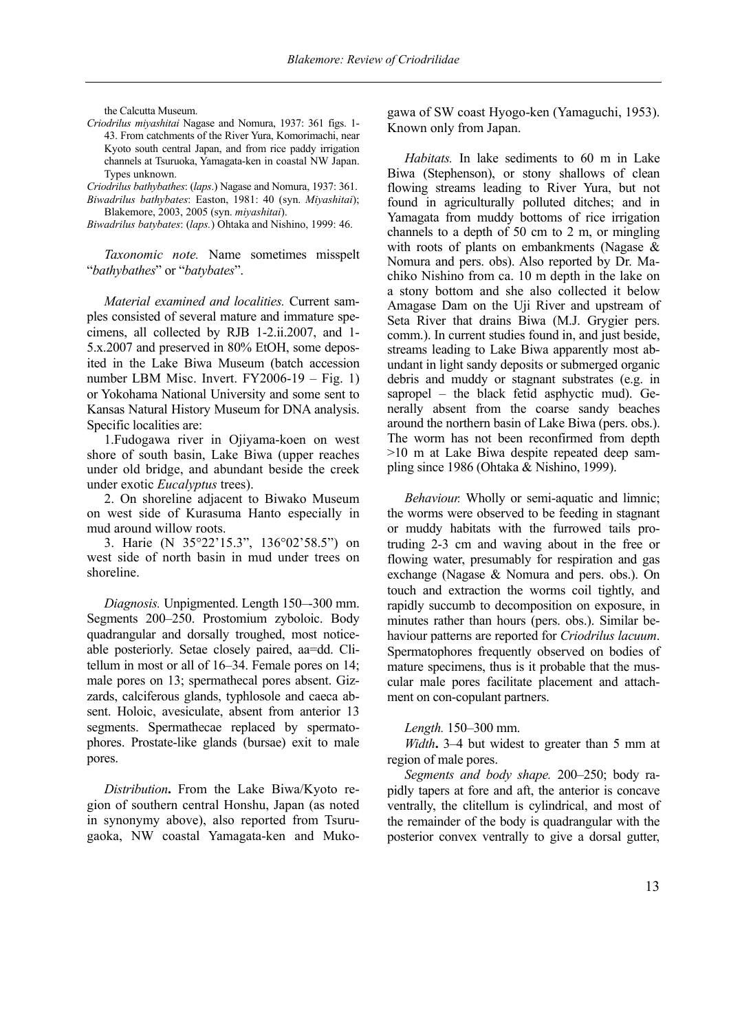the Calcutta Museum.

*Criodrilus miyashitai* Nagase and Nomura, 1937: 361 figs. 1- 43. From catchments of the River Yura, Komorimachi, near Kyoto south central Japan, and from rice paddy irrigation channels at Tsuruoka, Yamagata-ken in coastal NW Japan. Types unknown.

*Criodrilus bathybathes*: (*laps*.) Nagase and Nomura, 1937: 361. *Biwadrilus bathybates*: Easton, 1981: 40 (syn. *Miyashitai*);

Blakemore, 2003, 2005 (syn. *miyashitai*). *Biwadrilus batybates*: (*laps.*) Ohtaka and Nishino, 1999: 46.

*Taxonomic note.* Name sometimes misspelt "*bathybathes*" or "*batybates*".

*Material examined and localities.* Current samples consisted of several mature and immature specimens, all collected by RJB 1-2.ii.2007, and 1- 5.x.2007 and preserved in 80% EtOH, some deposited in the Lake Biwa Museum (batch accession number LBM Misc. Invert. FY2006-19 – Fig. 1) or Yokohama National University and some sent to Kansas Natural History Museum for DNA analysis. Specific localities are:

1.Fudogawa river in Ojiyama-koen on west shore of south basin, Lake Biwa (upper reaches under old bridge, and abundant beside the creek under exotic *Eucalyptus* trees).

2. On shoreline adjacent to Biwako Museum on west side of Kurasuma Hanto especially in mud around willow roots.

3. Harie (N 35°22'15.3", 136°02'58.5") on west side of north basin in mud under trees on shoreline.

*Diagnosis.* Unpigmented. Length 150–-300 mm. Segments 200–250. Prostomium zyboloic. Body quadrangular and dorsally troughed, most noticeable posteriorly. Setae closely paired, aa=dd. Clitellum in most or all of 16–34. Female pores on 14; male pores on 13; spermathecal pores absent. Gizzards, calciferous glands, typhlosole and caeca absent. Holoic, avesiculate, absent from anterior 13 segments. Spermathecae replaced by spermatophores. Prostate-like glands (bursae) exit to male pores.

*Distribution***.** From the Lake Biwa/Kyoto region of southern central Honshu, Japan (as noted in synonymy above), also reported from Tsurugaoka, NW coastal Yamagata-ken and Mukogawa of SW coast Hyogo-ken (Yamaguchi, 1953). Known only from Japan.

*Habitats.* In lake sediments to 60 m in Lake Biwa (Stephenson), or stony shallows of clean flowing streams leading to River Yura, but not found in agriculturally polluted ditches; and in Yamagata from muddy bottoms of rice irrigation channels to a depth of 50 cm to 2 m, or mingling with roots of plants on embankments (Nagase & Nomura and pers. obs). Also reported by Dr. Machiko Nishino from ca. 10 m depth in the lake on a stony bottom and she also collected it below Amagase Dam on the Uji River and upstream of Seta River that drains Biwa (M.J. Grygier pers. comm.). In current studies found in, and just beside, streams leading to Lake Biwa apparently most abundant in light sandy deposits or submerged organic debris and muddy or stagnant substrates (e.g. in sapropel – the black fetid asphyctic mud). Generally absent from the coarse sandy beaches around the northern basin of Lake Biwa (pers. obs.). The worm has not been reconfirmed from depth >10 m at Lake Biwa despite repeated deep sampling since 1986 (Ohtaka & Nishino, 1999).

*Behaviour.* Wholly or semi-aquatic and limnic; the worms were observed to be feeding in stagnant or muddy habitats with the furrowed tails protruding 2-3 cm and waving about in the free or flowing water, presumably for respiration and gas exchange (Nagase & Nomura and pers. obs.). On touch and extraction the worms coil tightly, and rapidly succumb to decomposition on exposure, in minutes rather than hours (pers. obs.). Similar behaviour patterns are reported for *Criodrilus lacuum*. Spermatophores frequently observed on bodies of mature specimens, thus is it probable that the muscular male pores facilitate placement and attachment on con-copulant partners.

#### *Length.* 150–300 mm.

*Width***.** 3–4 but widest to greater than 5 mm at region of male pores.

*Segments and body shape.* 200–250; body rapidly tapers at fore and aft, the anterior is concave ventrally, the clitellum is cylindrical, and most of the remainder of the body is quadrangular with the posterior convex ventrally to give a dorsal gutter,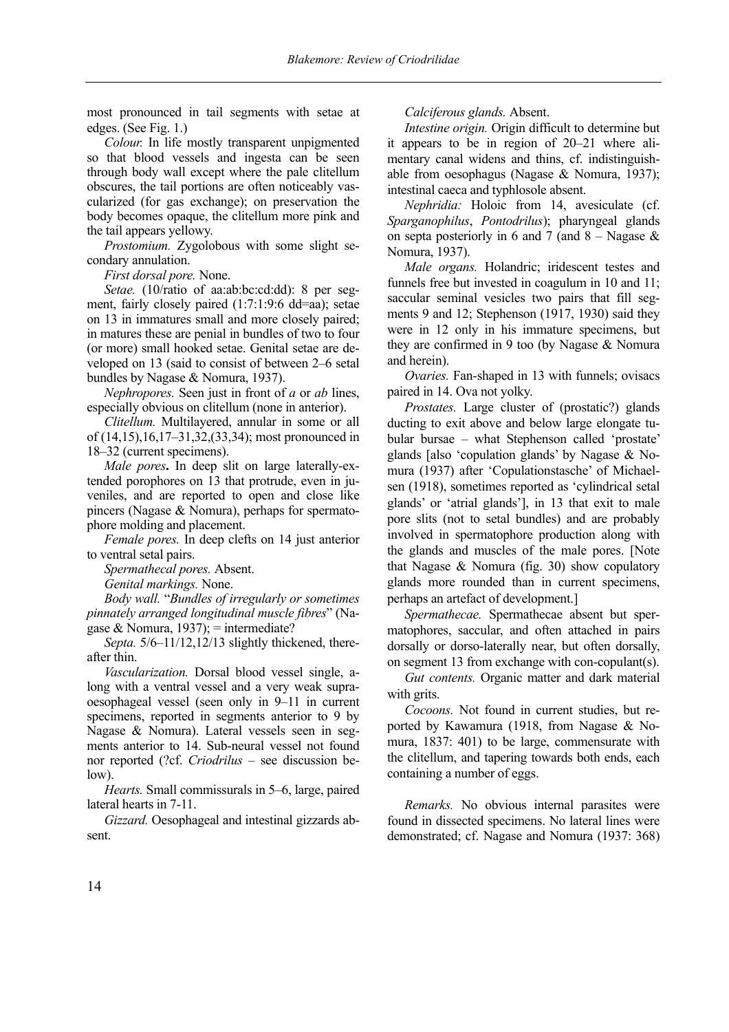most pronounced in tail segments with setae at edges. (See Fig. 1.)

*Colour.* In life mostly transparent unpigmented so that blood vessels and ingesta can be seen through body wall except where the pale clitellum obscures, the tail portions are often noticeably vascularized (for gas exchange); on preservation the body becomes opaque, the clitellum more pink and the tail appears yellowy.

*Prostomium.* Zygolobous with some slight secondary annulation.

*First dorsal pore.* None.

*Setae.* (10/ratio of aa:ab:bc:cd:dd): 8 per segment, fairly closely paired (1:7:1:9:6 dd=aa); setae on 13 in immatures small and more closely paired; in matures these are penial in bundles of two to four (or more) small hooked setae. Genital setae are developed on 13 (said to consist of between 2–6 setal bundles by Nagase & Nomura, 1937).

*Nephropores.* Seen just in front of *a* or *ab* lines, especially obvious on clitellum (none in anterior).

*Clitellum.* Multilayered, annular in some or all of (14,15),16,17–31,32,(33,34); most pronounced in 18–32 (current specimens).

*Male pores***.** In deep slit on large laterally-extended porophores on 13 that protrude, even in juveniles, and are reported to open and close like pincers (Nagase & Nomura), perhaps for spermatophore molding and placement.

*Female pores.* In deep clefts on 14 just anterior to ventral setal pairs.

*Spermathecal pores.* Absent.

*Genital markings.* None.

*Body wall.* "*Bundles of irregularly or sometimes pinnately arranged longitudinal muscle fibres*" (Nagase & Nomura, 1937); = intermediate?

*Septa.* 5/6–11/12,12/13 slightly thickened, thereafter thin.

*Vascularization.* Dorsal blood vessel single, along with a ventral vessel and a very weak supraoesophageal vessel (seen only in 9–11 in current specimens, reported in segments anterior to 9 by Nagase & Nomura). Lateral vessels seen in segments anterior to 14. Sub-neural vessel not found nor reported (?cf. *Criodrilus* – see discussion below).

*Hearts.* Small commissurals in 5–6, large, paired lateral hearts in 7-11.

*Gizzard.* Oesophageal and intestinal gizzards absent.

*Calciferous glands.* Absent.

*Intestine origin.* Origin difficult to determine but it appears to be in region of 20–21 where alimentary canal widens and thins, cf. indistinguishable from oesophagus (Nagase & Nomura, 1937); intestinal caeca and typhlosole absent.

*Nephridia:* Holoic from 14, avesiculate (cf. *Sparganophilus*, *Pontodrilus*); pharyngeal glands on septa posteriorly in 6 and 7 (and  $8 -$ Nagase  $\&$ Nomura, 1937).

*Male organs.* Holandric; iridescent testes and funnels free but invested in coagulum in 10 and 11; saccular seminal vesicles two pairs that fill segments 9 and 12; Stephenson (1917, 1930) said they were in 12 only in his immature specimens, but they are confirmed in 9 too (by Nagase & Nomura and herein).

*Ovaries.* Fan-shaped in 13 with funnels; ovisacs paired in 14. Ova not yolky.

*Prostates.* Large cluster of (prostatic?) glands ducting to exit above and below large elongate tubular bursae – what Stephenson called 'prostate' glands [also 'copulation glands' by Nagase & Nomura (1937) after 'Copulationstasche' of Michaelsen (1918), sometimes reported as 'cylindrical setal glands' or 'atrial glands'], in 13 that exit to male pore slits (not to setal bundles) and are probably involved in spermatophore production along with the glands and muscles of the male pores. [Note that Nagase & Nomura (fig. 30) show copulatory glands more rounded than in current specimens, perhaps an artefact of development.]

*Spermathecae.* Spermathecae absent but spermatophores, saccular, and often attached in pairs dorsally or dorso-laterally near, but often dorsally, on segment 13 from exchange with con-copulant(s).

*Gut contents.* Organic matter and dark material with grits.

*Cocoons.* Not found in current studies, but reported by Kawamura (1918, from Nagase & Nomura, 1837: 401) to be large, commensurate with the clitellum, and tapering towards both ends, each containing a number of eggs.

*Remarks.* No obvious internal parasites were found in dissected specimens. No lateral lines were demonstrated; cf. Nagase and Nomura (1937: 368)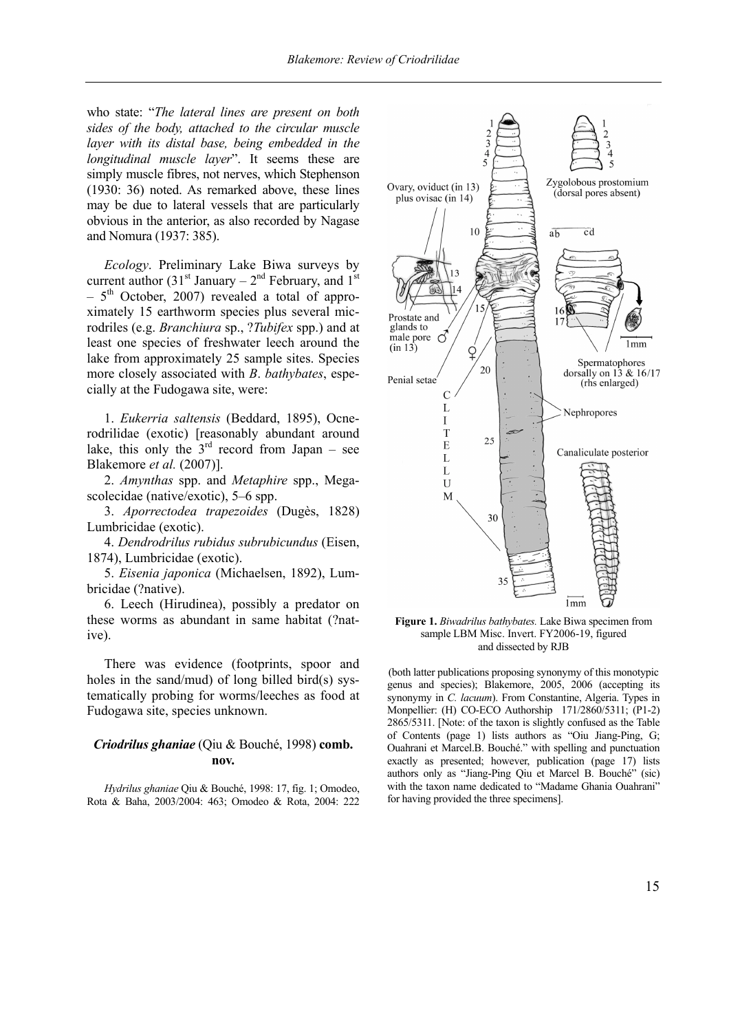who state: "*The lateral lines are present on both sides of the body, attached to the circular muscle layer with its distal base, being embedded in the longitudinal muscle layer*". It seems these are simply muscle fibres, not nerves, which Stephenson (1930: 36) noted. As remarked above, these lines may be due to lateral vessels that are particularly obvious in the anterior, as also recorded by Nagase and Nomura (1937: 385).

*Ecology*. Preliminary Lake Biwa surveys by current author  $(31<sup>st</sup> January – 2<sup>nd</sup> February, and 1<sup>st</sup>$  $-5$ <sup>th</sup> October, 2007) revealed a total of approximately 15 earthworm species plus several microdriles (e.g. *Branchiura* sp., ?*Tubifex* spp.) and at least one species of freshwater leech around the lake from approximately 25 sample sites. Species more closely associated with *B*. *bathybates*, especially at the Fudogawa site, were:

1. *Eukerria saltensis* (Beddard, 1895), Ocnerodrilidae (exotic) [reasonably abundant around lake, this only the  $3<sup>rd</sup>$  record from Japan – see Blakemore *et al.* (2007)].

2. *Amynthas* spp. and *Metaphire* spp., Megascolecidae (native/exotic), 5–6 spp.

3. *Aporrectodea trapezoides* (Dugès, 1828) Lumbricidae (exotic).

4. *Dendrodrilus rubidus subrubicundus* (Eisen, 1874), Lumbricidae (exotic).

5. *Eisenia japonica* (Michaelsen, 1892), Lumbricidae (?native).

6. Leech (Hirudinea), possibly a predator on these worms as abundant in same habitat (?native).

There was evidence (footprints, spoor and holes in the sand/mud) of long billed bird(s) systematically probing for worms/leeches as food at Fudogawa site, species unknown.

# *Criodrilus ghaniae* (Qiu & Bouché, 1998) **comb. nov.**

*Hydrilus ghaniae* Qiu & Bouché, 1998: 17, fig. 1; Omodeo, Rota & Baha, 2003/2004: 463; Omodeo & Rota, 2004: 222



**Figure 1.** *Biwadrilus bathybates.* Lake Biwa specimen from sample LBM Misc. Invert. FY2006-19, figured and dissected by RJB

(both latter publications proposing synonymy of this monotypic genus and species); Blakemore, 2005, 2006 (accepting its synonymy in *C. lacuum*). From Constantine, Algeria. Types in Monpellier: (H) CO-ECO Authorship 171/2860/5311; (P1-2) 2865/5311. [Note: of the taxon is slightly confused as the Table of Contents (page 1) lists authors as "Oiu Jiang-Ping, G; Ouahrani et Marcel.B. Bouché." with spelling and punctuation exactly as presented; however, publication (page 17) lists authors only as "Jiang-Ping Qiu et Marcel B. Bouché" (sic) with the taxon name dedicated to "Madame Ghania Ouahrani" for having provided the three specimens].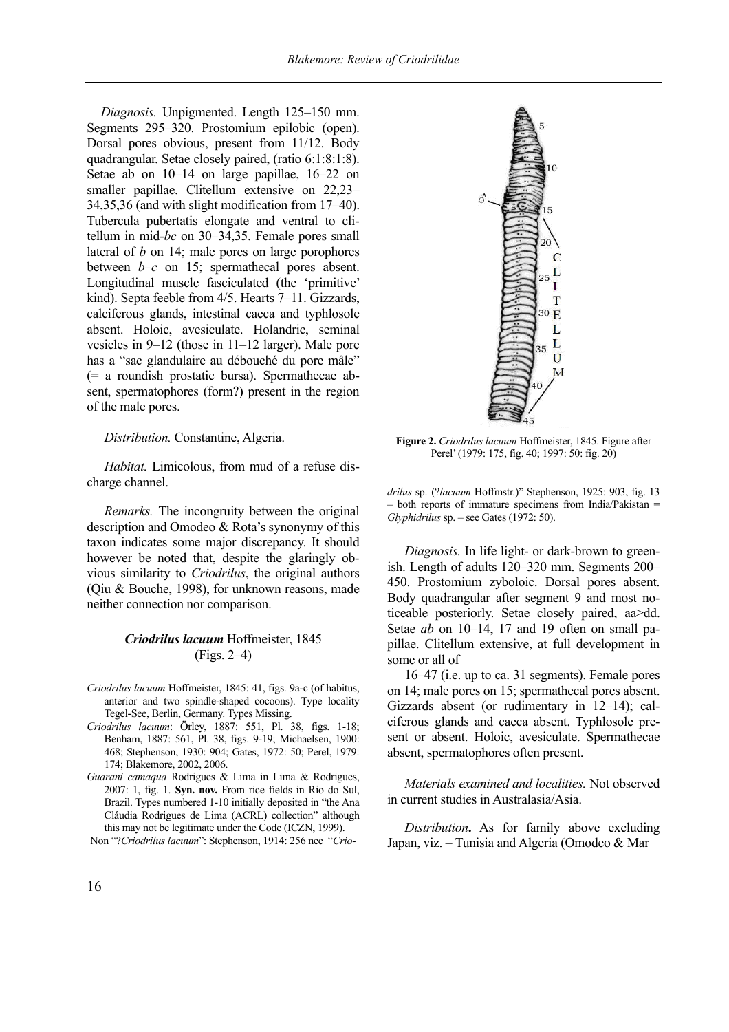*Diagnosis.* Unpigmented. Length 125–150 mm. Segments 295–320. Prostomium epilobic (open). Dorsal pores obvious, present from 11/12. Body quadrangular. Setae closely paired, (ratio 6:1:8:1:8). Setae ab on 10–14 on large papillae, 16–22 on smaller papillae. Clitellum extensive on 22,23– 34,35,36 (and with slight modification from 17–40). Tubercula pubertatis elongate and ventral to clitellum in mid-*bc* on 30–34,35. Female pores small lateral of *b* on 14; male pores on large porophores between *b*–*c* on 15; spermathecal pores absent. Longitudinal muscle fasciculated (the 'primitive' kind). Septa feeble from 4/5. Hearts 7–11. Gizzards, calciferous glands, intestinal caeca and typhlosole absent. Holoic, avesiculate. Holandric, seminal vesicles in 9–12 (those in 11–12 larger). Male pore has a "sac glandulaire au débouché du pore mâle" (= a roundish prostatic bursa). Spermathecae absent, spermatophores (form?) present in the region of the male pores.

#### *Distribution.* Constantine, Algeria.

*Habitat.* Limicolous, from mud of a refuse discharge channel.

*Remarks.* The incongruity between the original description and Omodeo & Rota's synonymy of this taxon indicates some major discrepancy. It should however be noted that, despite the glaringly obvious similarity to *Criodrilus*, the original authors (Qiu & Bouche, 1998), for unknown reasons, made neither connection nor comparison.

## *Criodrilus lacuum* Hoffmeister, 1845 (Figs. 2–4)

- *Criodrilus lacuum* Hoffmeister, 1845: 41, figs. 9a-c (of habitus, anterior and two spindle-shaped cocoons). Type locality Tegel-See, Berlin, Germany. Types Missing.
- *Criodrilus lacuum*: Örley, 1887: 551, Pl. 38, figs. 1-18; Benham, 1887: 561, Pl. 38, figs. 9-19; Michaelsen, 1900: 468; Stephenson, 1930: 904; Gates, 1972: 50; Perel, 1979: 174; Blakemore, 2002, 2006.
- *Guarani camaqua* Rodrigues & Lima in Lima & Rodrigues, 2007: 1, fig. 1. **Syn. nov.** From rice fields in Rio do Sul, Brazil. Types numbered 1-10 initially deposited in "the Ana Cláudia Rodrigues de Lima (ACRL) collection" although this may not be legitimate under the Code (ICZN, 1999).

Non "?*Criodrilus lacuum*": Stephenson, 1914: 256 nec "*Crio-*



**Figure 2.** *Criodrilus lacuum* Hoffmeister, 1845. Figure after Perel' (1979: 175, fig. 40; 1997: 50: fig. 20)

*drilus* sp. (?*lacuum* Hoffmstr.)" Stephenson, 1925: 903, fig. 13 – both reports of immature specimens from India/Pakistan = *Glyphidrilus* sp. – see Gates (1972: 50).

*Diagnosis.* In life light- or dark-brown to greenish. Length of adults 120–320 mm. Segments 200– 450. Prostomium zyboloic. Dorsal pores absent. Body quadrangular after segment 9 and most noticeable posteriorly. Setae closely paired, aa>dd. Setae *ab* on 10–14, 17 and 19 often on small papillae. Clitellum extensive, at full development in some or all of

16–47 (i.e. up to ca. 31 segments). Female pores on 14; male pores on 15; spermathecal pores absent. Gizzards absent (or rudimentary in 12–14); calciferous glands and caeca absent. Typhlosole present or absent. Holoic, avesiculate. Spermathecae absent, spermatophores often present.

*Materials examined and localities.* Not observed in current studies in Australasia/Asia.

*Distribution***.** As for family above excluding Japan, viz. – Tunisia and Algeria (Omodeo & Mar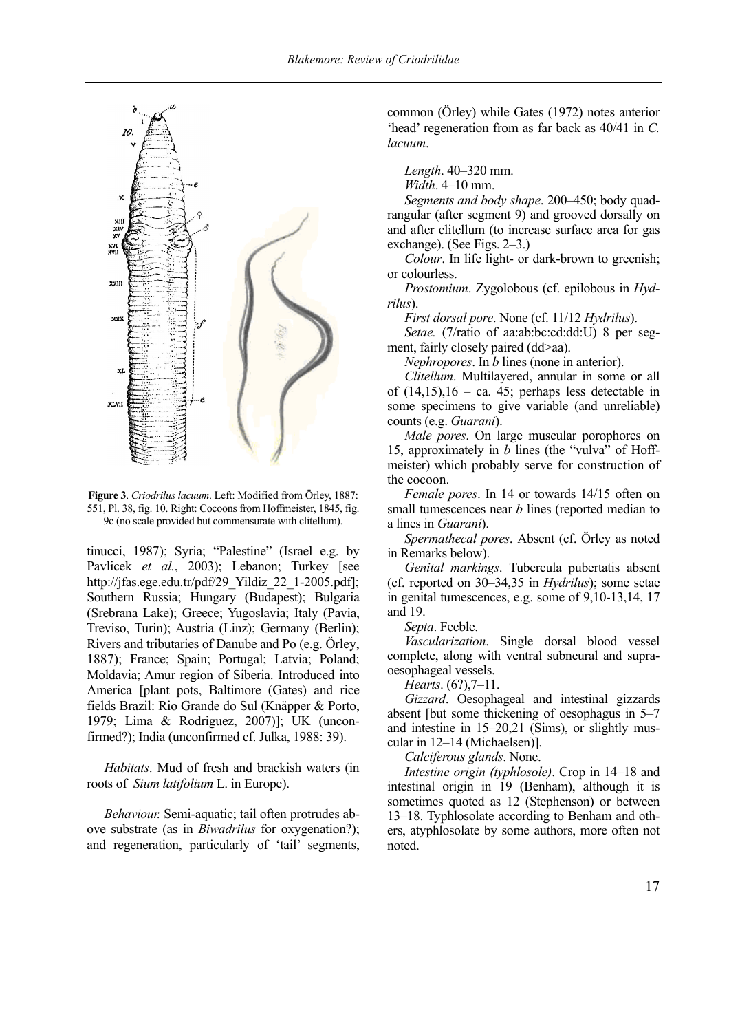

**Figure 3**. *Criodrilus lacuum*. Left: Modified from Örley, 1887: 551, Pl. 38, fig. 10. Right: Cocoons from Hoffmeister, 1845, fig. 9c (no scale provided but commensurate with clitellum).

tinucci, 1987); Syria; "Palestine" (Israel e.g. by Pavlicek *et al.*, 2003); Lebanon; Turkey [see http://jfas.ege.edu.tr/pdf/29\_Yildiz\_22\_1-2005.pdf]; Southern Russia; Hungary (Budapest); Bulgaria (Srebrana Lake); Greece; Yugoslavia; Italy (Pavia, Treviso, Turin); Austria (Linz); Germany (Berlin); Rivers and tributaries of Danube and Po (e.g. Örley, 1887); France; Spain; Portugal; Latvia; Poland; Moldavia; Amur region of Siberia. Introduced into America [plant pots, Baltimore (Gates) and rice fields Brazil: Rio Grande do Sul (Knäpper & Porto, 1979; Lima & Rodriguez, 2007)]; UK (unconfirmed?); India (unconfirmed cf. Julka, 1988: 39).

*Habitats*. Mud of fresh and brackish waters (in roots of *Sium latifolium* L. in Europe).

*Behaviour.* Semi-aquatic; tail often protrudes above substrate (as in *Biwadrilus* for oxygenation?); and regeneration, particularly of 'tail' segments, common (Örley) while Gates (1972) notes anterior 'head' regeneration from as far back as 40/41 in *C. lacuum*.

*Length*. 40–320 mm.

*Width*. 4–10 mm.

*Segments and body shape*. 200–450; body quadrangular (after segment 9) and grooved dorsally on and after clitellum (to increase surface area for gas exchange). (See Figs. 2–3.)

*Colour*. In life light- or dark-brown to greenish; or colourless.

*Prostomium*. Zygolobous (cf. epilobous in *Hydrilus*).

*First dorsal pore*. None (cf. 11/12 *Hydrilus*).

*Setae.* (7/ratio of aa:ab:bc:cd:dd:U) 8 per segment, fairly closely paired (dd>aa).

*Nephropores*. In *b* lines (none in anterior).

*Clitellum*. Multilayered, annular in some or all of  $(14,15)$ ,  $16 - ca$ . 45; perhaps less detectable in some specimens to give variable (and unreliable) counts (e.g. *Guarani*).

*Male pores*. On large muscular porophores on 15, approximately in *b* lines (the "vulva" of Hoffmeister) which probably serve for construction of the cocoon.

*Female pores*. In 14 or towards 14/15 often on small tumescences near *b* lines (reported median to a lines in *Guarani*).

*Spermathecal pores*. Absent (cf. Örley as noted in Remarks below).

*Genital markings*. Tubercula pubertatis absent (cf. reported on 30–34,35 in *Hydrilus*); some setae in genital tumescences, e.g. some of 9,10-13,14, 17 and 19.

*Septa*. Feeble.

*Vascularization*. Single dorsal blood vessel complete, along with ventral subneural and supraoesophageal vessels.

*Hearts*. (6?),7–11.

*Gizzard*. Oesophageal and intestinal gizzards absent [but some thickening of oesophagus in 5–7 and intestine in 15–20,21 (Sims), or slightly muscular in 12–14 (Michaelsen)].

*Calciferous glands*. None.

*Intestine origin (typhlosole)*. Crop in 14–18 and intestinal origin in 19 (Benham), although it is sometimes quoted as 12 (Stephenson) or between 13–18. Typhlosolate according to Benham and others, atyphlosolate by some authors, more often not noted.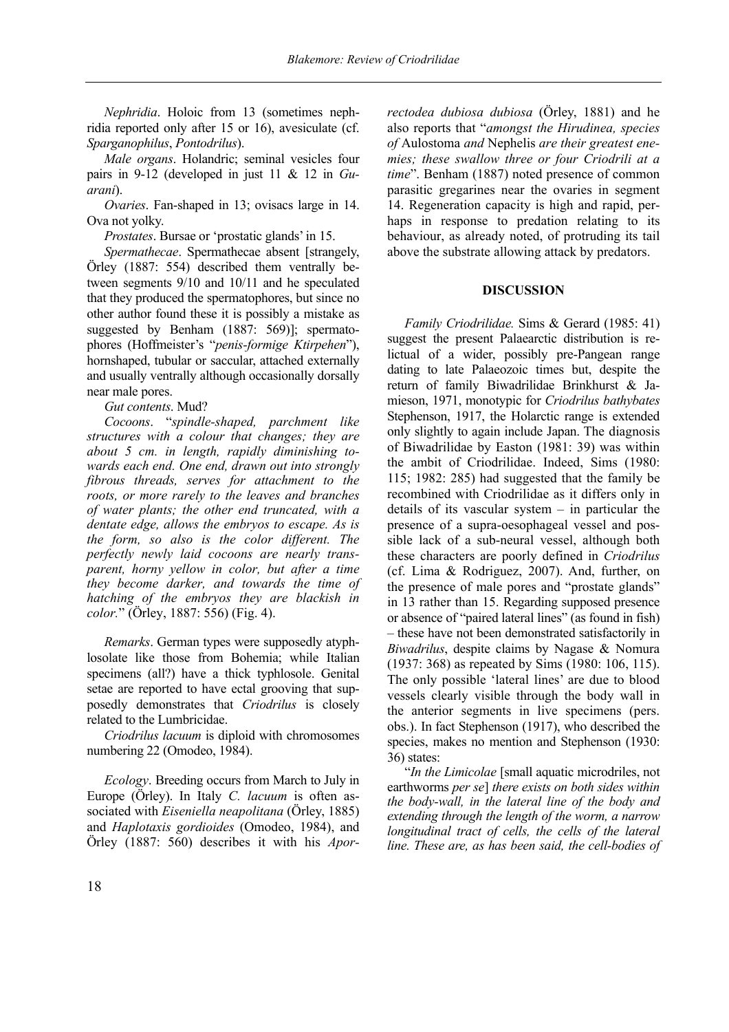*Nephridia*. Holoic from 13 (sometimes nephridia reported only after 15 or 16), avesiculate (cf. *Sparganophilus*, *Pontodrilus*).

*Male organs*. Holandric; seminal vesicles four pairs in 9-12 (developed in just 11 & 12 in *Guarani*).

*Ovaries*. Fan-shaped in 13; ovisacs large in 14. Ova not yolky.

*Prostates*. Bursae or 'prostatic glands' in 15.

*Spermathecae*. Spermathecae absent [strangely, Örley (1887: 554) described them ventrally between segments 9/10 and 10/11 and he speculated that they produced the spermatophores, but since no other author found these it is possibly a mistake as suggested by Benham (1887: 569)]; spermatophores (Hoffmeister's "*penis-formige Ktirpehen*"), hornshaped, tubular or saccular, attached externally and usually ventrally although occasionally dorsally near male pores.

*Gut contents*. Mud?

*Cocoons*. "*spindle-shaped, parchment like structures with a colour that changes; they are about 5 cm. in length, rapidly diminishing towards each end. One end, drawn out into strongly fibrous threads, serves for attachment to the roots, or more rarely to the leaves and branches of water plants; the other end truncated, with a dentate edge, allows the embryos to escape. As is the form, so also is the color different. The perfectly newly laid cocoons are nearly transparent, horny yellow in color, but after a time they become darker, and towards the time of hatching of the embryos they are blackish in color.*" (Örley, 1887: 556) (Fig. 4).

*Remarks*. German types were supposedly atyphlosolate like those from Bohemia; while Italian specimens (all?) have a thick typhlosole. Genital setae are reported to have ectal grooving that supposedly demonstrates that *Criodrilus* is closely related to the Lumbricidae.

*Criodrilus lacuum* is diploid with chromosomes numbering 22 (Omodeo, 1984).

*Ecology*. Breeding occurs from March to July in Europe (Örley). In Italy *C. lacuum* is often associated with *Eiseniella neapolitana* (Örley, 1885) and *Haplotaxis gordioides* (Omodeo, 1984), and Örley (1887: 560) describes it with his *Apor-* *rectodea dubiosa dubiosa* (Örley, 1881) and he also reports that "*amongst the Hirudinea, species of* Aulostoma *and* Nephelis *are their greatest enemies; these swallow three or four Criodrili at a time*". Benham (1887) noted presence of common parasitic gregarines near the ovaries in segment 14. Regeneration capacity is high and rapid, perhaps in response to predation relating to its behaviour, as already noted, of protruding its tail above the substrate allowing attack by predators.

# **DISCUSSION**

*Family Criodrilidae.* Sims & Gerard (1985: 41) suggest the present Palaearctic distribution is relictual of a wider, possibly pre-Pangean range dating to late Palaeozoic times but, despite the return of family Biwadrilidae Brinkhurst & Jamieson, 1971, monotypic for *Criodrilus bathybates*  Stephenson, 1917, the Holarctic range is extended only slightly to again include Japan. The diagnosis of Biwadrilidae by Easton (1981: 39) was within the ambit of Criodrilidae. Indeed, Sims (1980: 115; 1982: 285) had suggested that the family be recombined with Criodrilidae as it differs only in details of its vascular system – in particular the presence of a supra-oesophageal vessel and possible lack of a sub-neural vessel, although both these characters are poorly defined in *Criodrilus* (cf. Lima & Rodriguez, 2007). And, further, on the presence of male pores and "prostate glands" in 13 rather than 15. Regarding supposed presence or absence of "paired lateral lines" (as found in fish) – these have not been demonstrated satisfactorily in *Biwadrilus*, despite claims by Nagase & Nomura (1937: 368) as repeated by Sims (1980: 106, 115). The only possible 'lateral lines' are due to blood vessels clearly visible through the body wall in the anterior segments in live specimens (pers. obs.). In fact Stephenson (1917), who described the species, makes no mention and Stephenson (1930: 36) states:

"*In the Limicolae* [small aquatic microdriles, not earthworms *per se*] *there exists on both sides within the body-wall, in the lateral line of the body and extending through the length of the worm, a narrow longitudinal tract of cells, the cells of the lateral line. These are, as has been said, the cell-bodies of*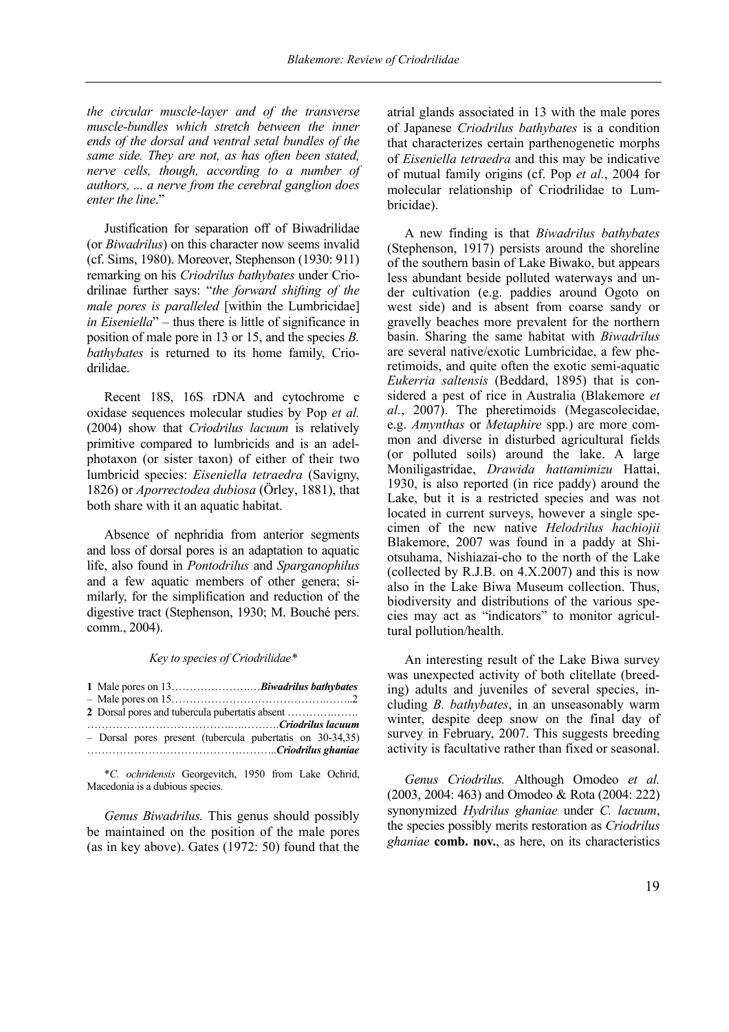*the circular muscle-layer and of the transverse muscle-bundles which stretch between the inner ends of the dorsal and ventral setal bundles of the same side. They are not, as has often been stated, nerve cells, though, according to a number of authors, ... a nerve from the cerebral ganglion does enter the line*."

Justification for separation off of Biwadrilidae (or *Biwadrilus*) on this character now seems invalid (cf. Sims, 1980). Moreover, Stephenson (1930: 911) remarking on his *Criodrilus bathybates* under Criodrilinae further says: "*the forward shifting of the male pores is paralleled* [within the Lumbricidae] *in Eiseniella*" – thus there is little of significance in position of male pore in 13 or 15, and the species *B. bathybates* is returned to its home family, Criodrilidae.

Recent 18S, 16S rDNA and cytochrome c oxidase sequences molecular studies by Pop *et al.*  (2004) show that *Criodrilus lacuum* is relatively primitive compared to lumbricids and is an adelphotaxon (or sister taxon) of either of their two lumbricid species: *Eiseniella tetraedra* (Savigny, 1826) or *Aporrectodea dubiosa* (Örley, 1881), that both share with it an aquatic habitat.

Absence of nephridia from anterior segments and loss of dorsal pores is an adaptation to aquatic life, also found in *Pontodrilus* and *Sparganophilus* and a few aquatic members of other genera; similarly, for the simplification and reduction of the digestive tract (Stephenson, 1930; M. Bouché pers. comm., 2004).

#### *Key to species of Criodrilidae\**

| - Dorsal pores present (tubercula pubertatis on 30-34,35) |  |
|-----------------------------------------------------------|--|
|                                                           |  |
|                                                           |  |

\**C. ochridensis* Georgevitch, 1950 from Lake Ochrid, Macedonia is a dubious species.

*Genus Biwadrilus.* This genus should possibly be maintained on the position of the male pores (as in key above). Gates (1972: 50) found that the atrial glands associated in 13 with the male pores of Japanese *Criodrilus bathybates* is a condition that characterizes certain parthenogenetic morphs of *Eiseniella tetraedra* and this may be indicative of mutual family origins (cf. Pop *et al.*, 2004 for molecular relationship of Criodrilidae to Lumbricidae).

A new finding is that *Biwadrilus bathybates*  (Stephenson, 1917) persists around the shoreline of the southern basin of Lake Biwako, but appears less abundant beside polluted waterways and under cultivation (e.g. paddies around Ogoto on west side) and is absent from coarse sandy or gravelly beaches more prevalent for the northern basin. Sharing the same habitat with *Biwadrilus*  are several native/exotic Lumbricidae, a few pheretimoids, and quite often the exotic semi-aquatic *Eukerria saltensis* (Beddard, 1895) that is considered a pest of rice in Australia (Blakemore *et al.*, 2007). The pheretimoids (Megascolecidae, e.g. *Amynthas* or *Metaphire* spp.) are more common and diverse in disturbed agricultural fields (or polluted soils) around the lake. A large Moniligastridae, *Drawida hattamimizu* Hattai, 1930, is also reported (in rice paddy) around the Lake, but it is a restricted species and was not located in current surveys, however a single specimen of the new native *Helodrilus hachiojii*  Blakemore, 2007 was found in a paddy at Shiotsuhama, Nishiazai-cho to the north of the Lake (collected by R.J.B. on 4.X.2007) and this is now also in the Lake Biwa Museum collection. Thus, biodiversity and distributions of the various species may act as "indicators" to monitor agricultural pollution/health.

An interesting result of the Lake Biwa survey was unexpected activity of both clitellate (breeding) adults and juveniles of several species, including *B. bathybates*, in an unseasonably warm winter, despite deep snow on the final day of survey in February, 2007. This suggests breeding activity is facultative rather than fixed or seasonal.

*Genus Criodrilus.* Although Omodeo *et al.*  (2003, 2004: 463) and Omodeo & Rota (2004: 222) synonymized *Hydrilus ghaniae* under *C. lacuum*, the species possibly merits restoration as *Criodrilus ghaniae* **comb. nov.**, as here, on its characteristics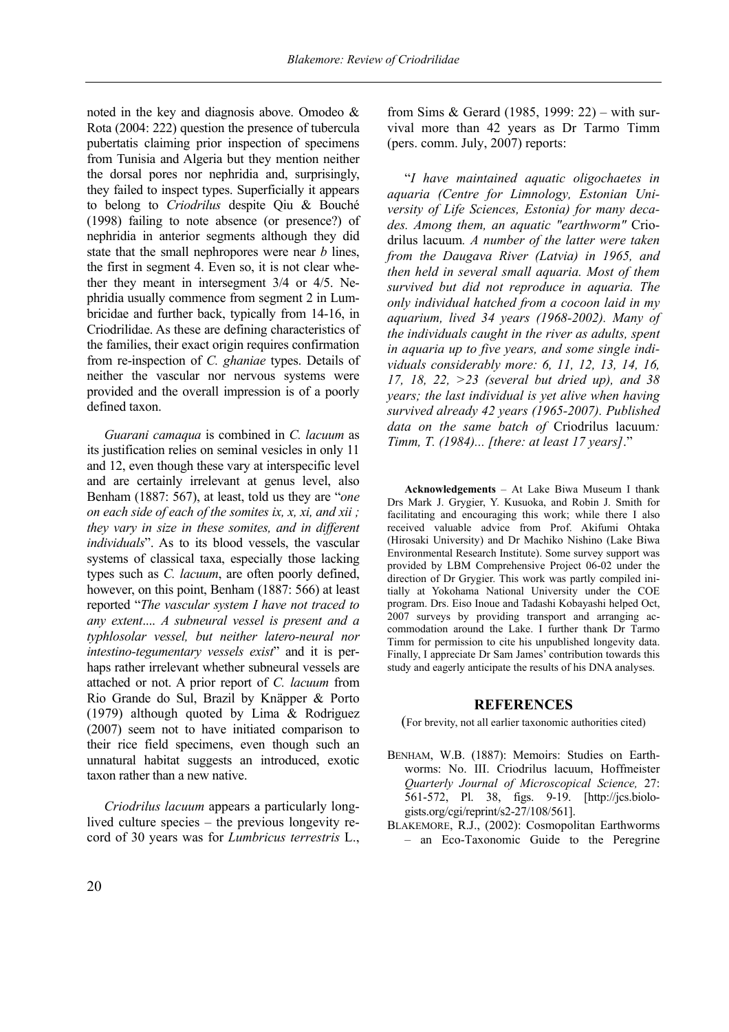noted in the key and diagnosis above. Omodeo & Rota (2004: 222) question the presence of tubercula pubertatis claiming prior inspection of specimens from Tunisia and Algeria but they mention neither the dorsal pores nor nephridia and, surprisingly, they failed to inspect types. Superficially it appears to belong to *Criodrilus* despite Qiu & Bouché (1998) failing to note absence (or presence?) of nephridia in anterior segments although they did state that the small nephropores were near *b* lines, the first in segment 4. Even so, it is not clear whether they meant in intersegment 3/4 or 4/5. Nephridia usually commence from segment 2 in Lumbricidae and further back, typically from 14-16, in Criodrilidae. As these are defining characteristics of the families, their exact origin requires confirmation from re-inspection of *C. ghaniae* types. Details of neither the vascular nor nervous systems were provided and the overall impression is of a poorly defined taxon.

*Guarani camaqua* is combined in *C. lacuum* as its justification relies on seminal vesicles in only 11 and 12, even though these vary at interspecific level and are certainly irrelevant at genus level, also Benham (1887: 567), at least, told us they are "*one on each side of each of the somites ix, x, xi, and xii ; they vary in size in these somites, and in different individuals*". As to its blood vessels, the vascular systems of classical taxa, especially those lacking types such as *C. lacuum*, are often poorly defined, however, on this point, Benham (1887: 566) at least reported "*The vascular system I have not traced to any extent*.... *A subneural vessel is present and a typhlosolar vessel, but neither latero-neural nor intestino-tegumentary vessels exist*" and it is perhaps rather irrelevant whether subneural vessels are attached or not. A prior report of *C. lacuum* from Rio Grande do Sul, Brazil by Knäpper & Porto (1979) although quoted by Lima & Rodriguez (2007) seem not to have initiated comparison to their rice field specimens, even though such an unnatural habitat suggests an introduced, exotic taxon rather than a new native.

*Criodrilus lacuum* appears a particularly longlived culture species – the previous longevity record of 30 years was for *Lumbricus terrestris* L., from Sims & Gerard (1985, 1999: 22) – with survival more than 42 years as Dr Tarmo Timm (pers. comm. July, 2007) reports:

"*I have maintained aquatic oligochaetes in aquaria (Centre for Limnology, Estonian University of Life Sciences, Estonia) for many decades. Among them, an aquatic "earthworm"* Criodrilus lacuum*. A number of the latter were taken from the Daugava River (Latvia) in 1965, and then held in several small aquaria. Most of them survived but did not reproduce in aquaria. The only individual hatched from a cocoon laid in my aquarium, lived 34 years (1968-2002). Many of the individuals caught in the river as adults, spent in aquaria up to five years, and some single individuals considerably more: 6, 11, 12, 13, 14, 16, 17, 18, 22, >23 (several but dried up), and 38 years; the last individual is yet alive when having survived already 42 years (1965-2007). Published data on the same batch of* Criodrilus lacuum*: Timm, T. (1984)... [there: at least 17 years]*."

**Acknowledgements** – At Lake Biwa Museum I thank Drs Mark J. Grygier, Y. Kusuoka, and Robin J. Smith for facilitating and encouraging this work; while there I also received valuable advice from Prof. Akifumi Ohtaka (Hirosaki University) and Dr Machiko Nishino (Lake Biwa Environmental Research Institute). Some survey support was provided by LBM Comprehensive Project 06-02 under the direction of Dr Grygier. This work was partly compiled initially at Yokohama National University under the COE program. Drs. Eiso Inoue and Tadashi Kobayashi helped Oct, 2007 surveys by providing transport and arranging accommodation around the Lake. I further thank Dr Tarmo Timm for permission to cite his unpublished longevity data. Finally, I appreciate Dr Sam James' contribution towards this study and eagerly anticipate the results of his DNA analyses.

# **REFERENCES**

(For brevity, not all earlier taxonomic authorities cited)

- BENHAM, W.B. (1887): Memoirs: Studies on Earthworms: No. III. Criodrilus lacuum, Hoffmeister *Quarterly Journal of Microscopical Science,* 27: 561-572, Pl. 38, figs. 9-19. [http://jcs.biologists.org/cgi/reprint/s2-27/108/561].
- BLAKEMORE, R.J., (2002): Cosmopolitan Earthworms – an Eco-Taxonomic Guide to the Peregrine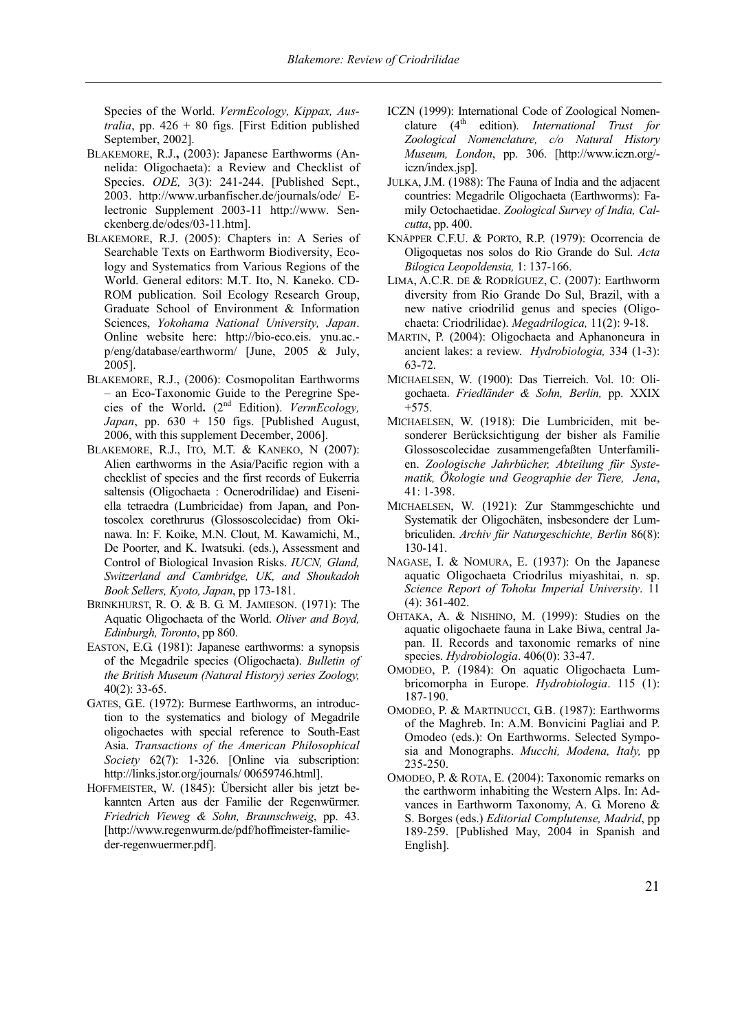Species of the World. *VermEcology, Kippax, Australia*, pp. 426 + 80 figs. [First Edition published September, 2002].

- BLAKEMORE, R.J.**,** (2003): Japanese Earthworms (Annelida: Oligochaeta): a Review and Checklist of Species. *ODE,* 3(3): 241-244. [Published Sept., 2003. http://www.urbanfischer.de/journals/ode/ Electronic Supplement 2003-11 http://www. Senckenberg.de/odes/03-11.htm].
- BLAKEMORE, R.J. (2005): Chapters in: A Series of Searchable Texts on Earthworm Biodiversity, Ecology and Systematics from Various Regions of the World. General editors: M.T. Ito, N. Kaneko. CD-ROM publication. Soil Ecology Research Group, Graduate School of Environment & Information Sciences, *Yokohama National University, Japan*. Online website here: http://bio-eco.eis. ynu.ac. p/eng/database/earthworm/ [June, 2005 & July, 2005].
- BLAKEMORE, R.J., (2006): Cosmopolitan Earthworms – an Eco-Taxonomic Guide to the Peregrine Species of the World**.** (2nd Edition). *VermEcology, Japan*, pp. 630 + 150 figs. [Published August, 2006, with this supplement December, 2006].
- BLAKEMORE, R.J., ITO, M.T. & KANEKO, N (2007): Alien earthworms in the Asia/Pacific region with a checklist of species and the first records of Eukerria saltensis (Oligochaeta : Ocnerodrilidae) and Eiseniella tetraedra (Lumbricidae) from Japan, and Pontoscolex corethrurus (Glossoscolecidae) from Okinawa. In: F. Koike, M.N. Clout, M. Kawamichi, M., De Poorter, and K. Iwatsuki. (eds.), Assessment and Control of Biological Invasion Risks. *IUCN, Gland, Switzerland and Cambridge, UK, and Shoukadoh Book Sellers, Kyoto, Japan*, pp 173-181.
- BRINKHURST, R. O. & B. G. M. JAMIESON. (1971): The Aquatic Oligochaeta of the World. *Oliver and Boyd, Edinburgh, Toronto*, pp 860.
- EASTON, E.G. (1981): Japanese earthworms: a synopsis of the Megadrile species (Oligochaeta). *Bulletin of the British Museum (Natural History) series Zoology,*  40(2): 33-65.
- GATES, G.E. (1972): Burmese Earthworms, an introduction to the systematics and biology of Megadrile oligochaetes with special reference to South-East Asia. *Transactions of the American Philosophical Society* 62(7): 1-326. [Online via subscription: http://links.jstor.org/journals/ 00659746.html].
- HOFFMEISTER, W. (1845): Übersicht aller bis jetzt bekannten Arten aus der Familie der Regenwürmer. *Friedrich Vieweg & Sohn, Braunschweig*, pp. 43. [http://www.regenwurm.de/pdf/hoffmeister-familieder-regenwuermer.pdf].
- ICZN (1999): International Code of Zoological Nomenclature (4<sup>th</sup> edition). *International Trust for Zoological Nomenclature, c/o Natural History Museum, London*, pp. 306. [http://www.iczn.org/ iczn/index.jsp].
- JULKA, J.M. (1988): The Fauna of India and the adjacent countries: Megadrile Oligochaeta (Earthworms): Family Octochaetidae. *Zoological Survey of India, Calcutta*, pp. 400.
- KNÄPPER C.F.U. & PORTO, R.P. (1979): Ocorrencia de Oligoquetas nos solos do Rio Grande do Sul. *Acta Bilogica Leopoldensia,* 1: 137-166.
- LIMA, A.C.R. DE & RODRÍGUEZ, C. (2007): Earthworm diversity from Rio Grande Do Sul, Brazil, with a new native criodrilid genus and species (Oligochaeta: Criodrilidae). *Megadrilogica,* 11(2): 9-18.
- MARTIN, P. (2004): Oligochaeta and Aphanoneura in ancient lakes: a review. *Hydrobiologia,* 334 (1-3): 63-72.
- MICHAELSEN, W. (1900): Das Tierreich. Vol. 10: Oligochaeta. *Friedländer & Sohn, Berlin,* pp. XXIX +575.
- MICHAELSEN, W. (1918): Die Lumbriciden, mit besonderer Berücksichtigung der bisher als Familie Glossoscolecidae zusammengefaßten Unterfamilien. *Zoologische Jahrbücher, Abteilung für Systematik, Ökologie und Geographie der Tiere, Jena*, 41: 1-398.
- MICHAELSEN, W. (1921): Zur Stammgeschichte und Systematik der Oligochäten, insbesondere der Lumbriculiden. *Archiv für Naturgeschichte, Berlin* 86(8): 130-141.
- NAGASE, I. & NOMURA, E. (1937): On the Japanese aquatic Oligochaeta Criodrilus miyashitai, n. sp. *Science Report of Tohoku Imperial University*. 11 (4): 361-402.
- OHTAKA, A. & NISHINO, M. (1999): Studies on the aquatic oligochaete fauna in Lake Biwa, central Japan. II. Records and taxonomic remarks of nine species. *Hydrobiologia*. 406(0): 33-47.
- OMODEO, P. (1984): On aquatic Oligochaeta Lumbricomorpha in Europe. *Hydrobiologia*. 115 (1): 187-190.
- OMODEO, P. & MARTINUCCI, G.B. (1987): Earthworms of the Maghreb. In: A.M. Bonvicini Pagliai and P. Omodeo (eds.): On Earthworms. Selected Symposia and Monographs. *Mucchi, Modena, Italy,* pp 235-250.
- OMODEO, P. & ROTA, E. (2004): Taxonomic remarks on the earthworm inhabiting the Western Alps. In: Advances in Earthworm Taxonomy, A. G. Moreno & S. Borges (eds.) *Editorial Complutense, Madrid*, pp 189-259. [Published May, 2004 in Spanish and English].